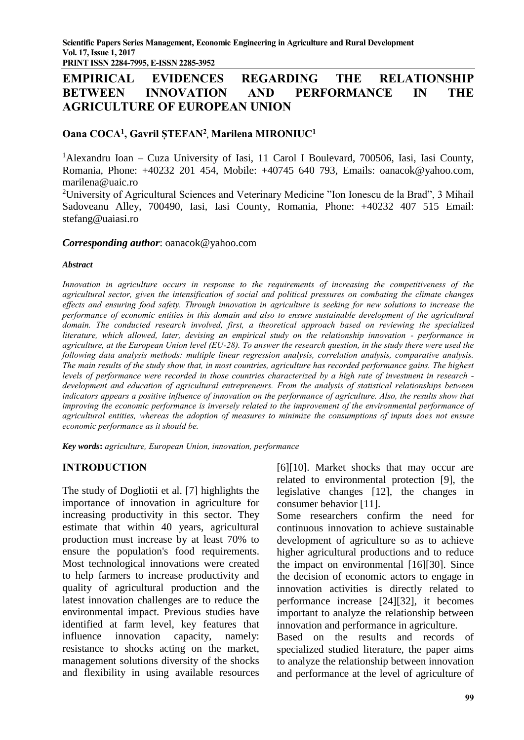# **EMPIRICAL EVIDENCES REGARDING THE RELATIONSHIP BETWEEN INNOVATION AND PERFORMANCE IN THE AGRICULTURE OF EUROPEAN UNION**

# **Oana COCA<sup>1</sup> , Gavril ȘTEFAN<sup>2</sup> , Marilena MIRONIUC<sup>1</sup>**

<sup>1</sup>Alexandru Ioan – Cuza University of Iasi, 11 Carol I Boulevard, 700506, Iasi, Iasi County, Romania, Phone: +40232 201 454, Mobile: +40745 640 793, Emails: [oanacok@yahoo.com,](mailto:oanacok@yahoo.com) marilena@uaic.ro

<sup>2</sup>University of Agricultural Sciences and Veterinary Medicine "Ion Ionescu de la Brad", 3 Mihail Sadoveanu Alley, 700490, Iasi, Iasi County, Romania, Phone: +40232 407 515 Email: stefang@uaiasi.ro

#### *Corresponding author*: oanacok@yahoo.com

#### *Abstract*

*Innovation in agriculture occurs in response to the requirements of increasing the competitiveness of the agricultural sector, given the intensification of social and political pressures on combating the climate changes effects and ensuring food safety. Through innovation in agriculture is seeking for new solutions to increase the performance of economic entities in this domain and also to ensure sustainable development of the agricultural domain. The conducted research involved, first, a theoretical approach based on reviewing the specialized literature, which allowed, later, devising an empirical study on the relationship innovation - performance in agriculture, at the European Union level (EU-28). To answer the research question, in the study there were used the following data analysis methods: multiple linear regression analysis, correlation analysis, comparative analysis. The main results of the study show that, in most countries, agriculture has recorded performance gains. The highest levels of performance were recorded in those countries characterized by a high rate of investment in research development and education of agricultural entrepreneurs. From the analysis of statistical relationships between*  indicators appears a positive influence of innovation on the performance of agriculture. Also, the results show that improving the economic performance is inversely related to the improvement of the environmental performance of *agricultural entities, whereas the adoption of measures to minimize the consumptions of inputs does not ensure economic performance as it should be.*

*Key words***:** *agriculture, European Union, innovation, performance*

## **INTRODUCTION**

The study of Dogliotii et al. [7] highlights the importance of innovation in agriculture for increasing productivity in this sector. They estimate that within 40 years, agricultural production must increase by at least 70% to ensure the population's food requirements. Most technological innovations were created to help farmers to increase productivity and quality of agricultural production and the latest innovation challenges are to reduce the environmental impact. Previous studies have identified at farm level, key features that influence innovation capacity, namely: resistance to shocks acting on the market, management solutions diversity of the shocks and flexibility in using available resources

[6][10]. Market shocks that may occur are related to environmental protection [9], the legislative changes [12], the changes in consumer behavior [11].

Some researchers confirm the need for continuous innovation to achieve sustainable development of agriculture so as to achieve higher agricultural productions and to reduce the impact on environmental [16][30]. Since the decision of economic actors to engage in innovation activities is directly related to performance increase [24][32], it becomes important to analyze the relationship between innovation and performance in agriculture.

Based on the results and records of specialized studied literature, the paper aims to analyze the relationship between innovation and performance at the level of agriculture of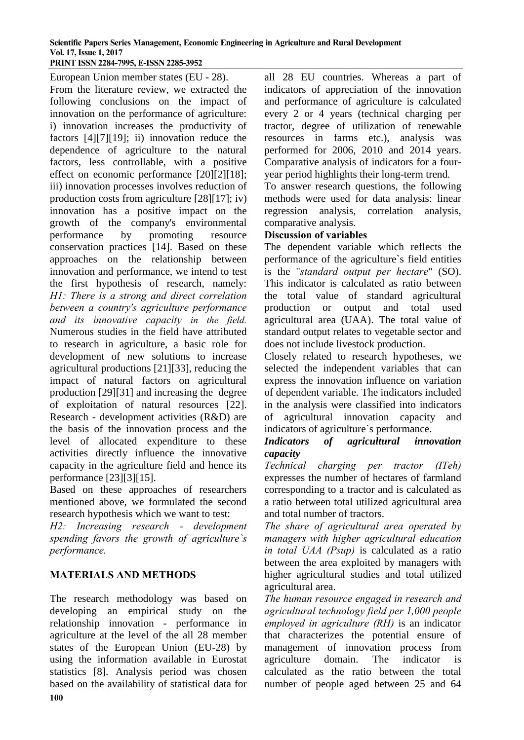European Union member states (EU - 28). From the literature review, we extracted the following conclusions on the impact of innovation on the performance of agriculture: i) innovation increases the productivity of factors [4][7][19]; ii) innovation reduce the dependence of agriculture to the natural factors, less controllable, with a positive effect on economic performance [20][2][18]; iii) innovation processes involves reduction of production costs from agriculture [28][17]; iv) innovation has a positive impact on the growth of the company's environmental performance by promoting resource conservation practices [14]. Based on these approaches on the relationship between innovation and performance, we intend to test the first hypothesis of research, namely: *H1: There is a strong and direct correlation between a country's agriculture performance and its innovative capacity in the field.* Numerous studies in the field have attributed to research in agriculture, a basic role for development of new solutions to increase agricultural productions [21][33], reducing the impact of natural factors on agricultural production [29][31] and increasing the degree of exploitation of natural resources [22]. Research - development activities (R&D) are the basis of the innovation process and the level of allocated expenditure to these activities directly influence the innovative capacity in the agriculture field and hence its performance [23][3][15].

Based on these approaches of researchers mentioned above, we formulated the second research hypothesis which we want to test:

*H2: Increasing research - development spending favors the growth of agriculture`s performance.*

## **MATERIALS AND METHODS**

The research methodology was based on developing an empirical study on the relationship innovation - performance in agriculture at the level of the all 28 member states of the European Union (EU-28) by using the information available in Eurostat statistics [8]. Analysis period was chosen based on the availability of statistical data for

all 28 EU countries. Whereas a part of indicators of appreciation of the innovation and performance of agriculture is calculated every 2 or 4 years (technical charging per tractor, degree of utilization of renewable resources in farms etc.), analysis was performed for 2006, 2010 and 2014 years. Comparative analysis of indicators for a fouryear period highlights their long-term trend.

To answer research questions, the following methods were used for data analysis: linear regression analysis, correlation analysis, comparative analysis.

### **Discussion of variables**

The dependent variable which reflects the performance of the agriculture`s field entities is the "*standard output per hectare*" (SO). This indicator is calculated as ratio between the total value of standard agricultural production or output and total used agricultural area (UAA). The total value of standard output relates to vegetable sector and does not include livestock production.

Closely related to research hypotheses, we selected the independent variables that can express the innovation influence on variation of dependent variable. The indicators included in the analysis were classified into indicators of agricultural innovation capacity and indicators of agriculture`s performance.

# *Indicators of agricultural innovation capacity*

*Technical charging per tractor (ITeh)*  expresses the number of hectares of farmland corresponding to a tractor and is calculated as a ratio between total utilized agricultural area and total number of tractors.

*The share of agricultural area operated by managers with higher agricultural education in total UAA (Psup)* is calculated as a ratio between the area exploited by managers with higher agricultural studies and total utilized agricultural area.

*The human resource engaged in research and agricultural technology field per 1,000 people employed in agriculture (RH)* is an indicator that characterizes the potential ensure of management of innovation process from agriculture domain. The indicator is calculated as the ratio between the total number of people aged between 25 and 64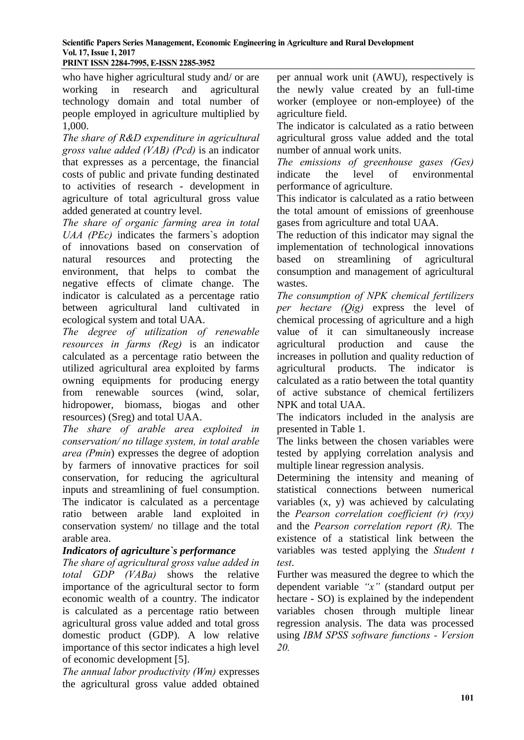who have higher agricultural study and/ or are working in research and agricultural technology domain and total number of people employed in agriculture multiplied by 1,000.

*The share of R&D expenditure in agricultural gross value added (VAB) (Pcd)* is an indicator that expresses as a percentage, the financial costs of public and private funding destinated to activities of research - development in agriculture of total agricultural gross value added generated at country level.

*The share of organic farming area in total UAA (PEc)* indicates the farmers`s adoption of innovations based on conservation of natural resources and protecting the environment, that helps to combat the negative effects of climate change. The indicator is calculated as a percentage ratio between agricultural land cultivated in ecological system and total UAA.

*The degree of utilization of renewable resources in farms (Reg)* is an indicator calculated as a percentage ratio between the utilized agricultural area exploited by farms owning equipments for producing energy from renewable sources (wind, solar, hidropower, biomass, biogas and other resources) (Sreg) and total UAA.

*The share of arable area exploited in conservation/ no tillage system, in total arable area (Pmin*) expresses the degree of adoption by farmers of innovative practices for soil conservation, for reducing the agricultural inputs and streamlining of fuel consumption. The indicator is calculated as a percentage ratio between arable land exploited in conservation system/ no tillage and the total arable area.

## *Indicators of agriculture`s performance*

*The share of agricultural gross value added in total GDP (VABa)* shows the relative importance of the agricultural sector to form economic wealth of a country. The indicator is calculated as a percentage ratio between agricultural gross value added and total gross domestic product (GDP). A low relative importance of this sector indicates a high level of economic development [5].

*The annual labor productivity (Wm)* expresses the agricultural gross value added obtained

per annual work unit (AWU), respectively is the newly value created by an full-time worker (employee or non-employee) of the agriculture field.

The indicator is calculated as a ratio between agricultural gross value added and the total number of annual work units.

*The emissions of greenhouse gases (Ges)*  indicate the level of environmental performance of agriculture.

This indicator is calculated as a ratio between the total amount of emissions of greenhouse gases from agriculture and total UAA.

The reduction of this indicator may signal the implementation of technological innovations based on streamlining of agricultural consumption and management of agricultural wastes.

*The consumption of NPK chemical fertilizers per hectare (Qig)* express the level of chemical processing of agriculture and a high value of it can simultaneously increase agricultural production and cause the increases in pollution and quality reduction of agricultural products. The indicator is calculated as a ratio between the total quantity of active substance of chemical fertilizers NPK and total UAA.

The indicators included in the analysis are presented in Table 1.

The links between the chosen variables were tested by applying correlation analysis and multiple linear regression analysis.

Determining the intensity and meaning of statistical connections between numerical variables (x, y) was achieved by calculating the *Pearson correlation coefficient (r) (rxy)* and the *Pearson correlation report (R).* The existence of a statistical link between the variables was tested applying the *Student t test*.

Further was measured the degree to which the dependent variable *"x"* (standard output per hectare - SO) is explained by the independent variables chosen through multiple linear regression analysis. The data was processed using *IBM SPSS software functions - Version 20.*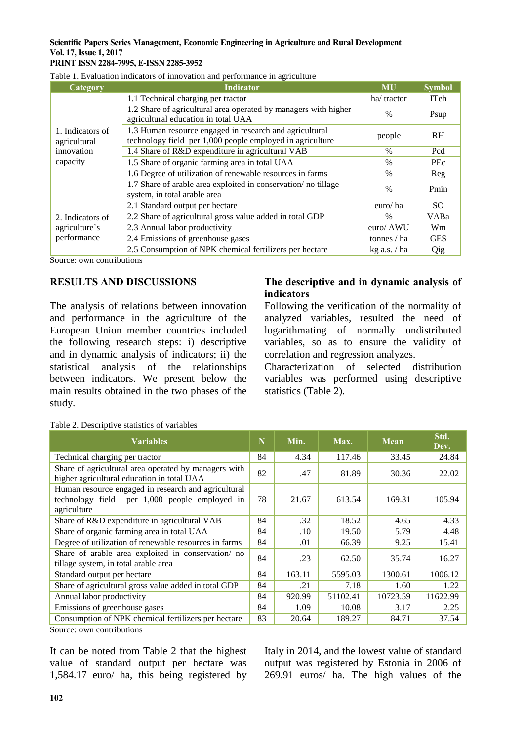### **Scientific Papers Series Management, Economic Engineering in Agriculture and Rural Development Vol. 17, Issue 1, 2017**

|                                                            | Table 1. Evaluation indicators of innovation and performance in agriculture                                          |                |               |
|------------------------------------------------------------|----------------------------------------------------------------------------------------------------------------------|----------------|---------------|
| Category                                                   | <b>Indicator</b>                                                                                                     | <b>MU</b>      | <b>Symbol</b> |
| 1. Indicators of<br>agricultural<br>innovation<br>capacity | 1.1 Technical charging per tractor                                                                                   | ha/tractor     | <b>ITeh</b>   |
|                                                            | 1.2 Share of agricultural area operated by managers with higher<br>agricultural education in total UAA               | $\%$           | Psup          |
|                                                            | 1.3 Human resource engaged in research and agricultural<br>technology field per 1,000 people employed in agriculture | people         | <b>RH</b>     |
|                                                            | 1.4 Share of R&D expenditure in agricultural VAB                                                                     | $\frac{0}{0}$  | Pcd           |
|                                                            | 1.5 Share of organic farming area in total UAA                                                                       | $\%$           | PEc           |
|                                                            | 1.6 Degree of utilization of renewable resources in farms                                                            | $\frac{0}{0}$  | Reg           |
|                                                            | 1.7 Share of arable area exploited in conservation/no tillage<br>system, in total arable area                        | $\frac{0}{0}$  | Pmin          |
|                                                            | 2.1 Standard output per hectare                                                                                      | euro/ha        | SO.           |
| 2. Indicators of<br>agriculture's<br>performance           | 2.2 Share of agricultural gross value added in total GDP                                                             | $\frac{0}{0}$  | VABa          |
|                                                            | 2.3 Annual labor productivity                                                                                        | euro/ AWU      | Wm            |
|                                                            | 2.4 Emissions of greenhouse gases                                                                                    | tonnes / ha    | <b>GES</b>    |
|                                                            | 2.5 Consumption of NPK chemical fertilizers per hectare                                                              | $kg$ a.s. / ha | Qig           |

Source: own contributions

### **RESULTS AND DISCUSSIONS**

The analysis of relations between innovation and performance in the agriculture of the European Union member countries included the following research steps: i) descriptive and in dynamic analysis of indicators; ii) the statistical analysis of the relationships between indicators. We present below the main results obtained in the two phases of the study.

### **The descriptive and in dynamic analysis of indicators**

Following the verification of the normality of analyzed variables, resulted the need of logarithmating of normally undistributed variables, so as to ensure the validity of correlation and regression analyzes.

Characterization of selected distribution variables was performed using descriptive statistics (Table 2).

| <b>Variables</b>                                                                                                    | N  | Min.   | Max.     | <b>Mean</b> | Std.<br>Dev. |
|---------------------------------------------------------------------------------------------------------------------|----|--------|----------|-------------|--------------|
| Technical charging per tractor                                                                                      | 84 | 4.34   | 117.46   | 33.45       | 24.84        |
| Share of agricultural area operated by managers with<br>higher agricultural education in total UAA                  | 82 | .47    | 81.89    | 30.36       | 22.02        |
| Human resource engaged in research and agricultural<br>technology field per 1,000 people employed in<br>agriculture | 78 | 21.67  | 613.54   | 169.31      | 105.94       |
| Share of R&D expenditure in agricultural VAB                                                                        | 84 | .32    | 18.52    | 4.65        | 4.33         |
| Share of organic farming area in total UAA                                                                          | 84 | .10    | 19.50    | 5.79        | 4.48         |
| Degree of utilization of renewable resources in farms                                                               | 84 | .01    | 66.39    | 9.25        | 15.41        |
| Share of arable area exploited in conservation/ no<br>tillage system, in total arable area                          |    | .23    | 62.50    | 35.74       | 16.27        |
| Standard output per hectare                                                                                         | 84 | 163.11 | 5595.03  | 1300.61     | 1006.12      |
| Share of agricultural gross value added in total GDP                                                                | 84 | .21    | 7.18     | 1.60        | 1.22         |
| Annual labor productivity                                                                                           | 84 | 920.99 | 51102.41 | 10723.59    | 11622.99     |
| Emissions of greenhouse gases                                                                                       | 84 | 1.09   | 10.08    | 3.17        | 2.25         |
| Consumption of NPK chemical fertilizers per hectare                                                                 | 83 | 20.64  | 189.27   | 84.71       | 37.54        |

Table 2. Descriptive statistics of variables

Source: own contributions

It can be noted from Table 2 that the highest value of standard output per hectare was 1,584.17 euro/ ha, this being registered by

Italy in 2014, and the lowest value of standard output was registered by Estonia in 2006 of 269.91 euros/ ha. The high values of the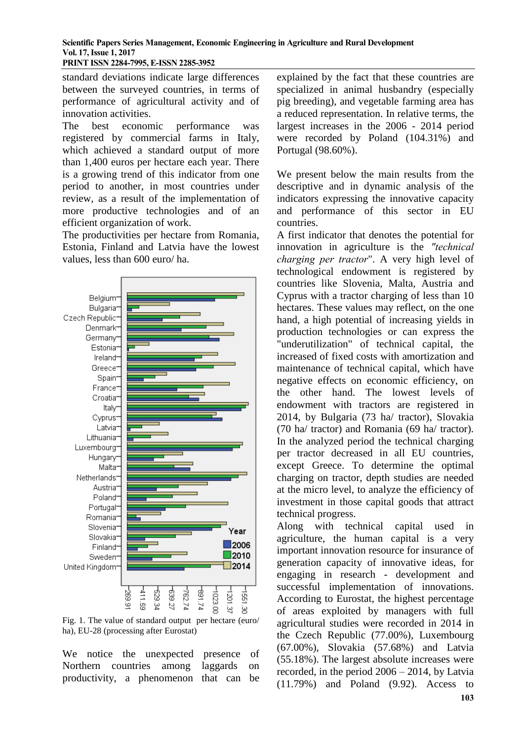standard deviations indicate large differences between the surveyed countries, in terms of performance of agricultural activity and of innovation activities.

The best economic performance was registered by commercial farms in Italy, which achieved a standard output of more than 1,400 euros per hectare each year. There is a growing trend of this indicator from one period to another, in most countries under review, as a result of the implementation of more productive technologies and of an efficient organization of work.

The productivities per hectare from Romania, Estonia, Finland and Latvia have the lowest values, less than 600 euro/ ha.



Fig. 1. The value of standard output per hectare (euro/ ha), EU-28 (processing after Eurostat)

We notice the unexpected presence of Northern countries among laggards on productivity, a phenomenon that can be

explained by the fact that these countries are specialized in animal husbandry (especially pig breeding), and vegetable farming area has a reduced representation. In relative terms, the largest increases in the 2006 - 2014 period were recorded by Poland (104.31%) and Portugal (98.60%).

We present below the main results from the descriptive and in dynamic analysis of the indicators expressing the innovative capacity and performance of this sector in EU countries.

A first indicator that denotes the potential for innovation in agriculture is the *"technical charging per tractor*". A very high level of technological endowment is registered by countries like Slovenia, Malta, Austria and Cyprus with a tractor charging of less than 10 hectares. These values may reflect, on the one hand, a high potential of increasing yields in production technologies or can express the "underutilization" of technical capital, the increased of fixed costs with amortization and maintenance of technical capital, which have negative effects on economic efficiency, on the other hand. The lowest levels of endowment with tractors are registered in 2014, by Bulgaria (73 ha/ tractor), Slovakia (70 ha/ tractor) and Romania (69 ha/ tractor). In the analyzed period the technical charging per tractor decreased in all EU countries, except Greece. To determine the optimal charging on tractor, depth studies are needed at the micro level, to analyze the efficiency of investment in those capital goods that attract technical progress.

Along with technical capital used in agriculture, the human capital is a very important innovation resource for insurance of generation capacity of innovative ideas, for engaging in research - development and successful implementation of innovations. According to Eurostat, the highest percentage of areas exploited by managers with full agricultural studies were recorded in 2014 in the Czech Republic (77.00%), Luxembourg (67.00%), Slovakia (57.68%) and Latvia (55.18%). The largest absolute increases were recorded, in the period 2006 – 2014, by Latvia (11.79%) and Poland (9.92). Access to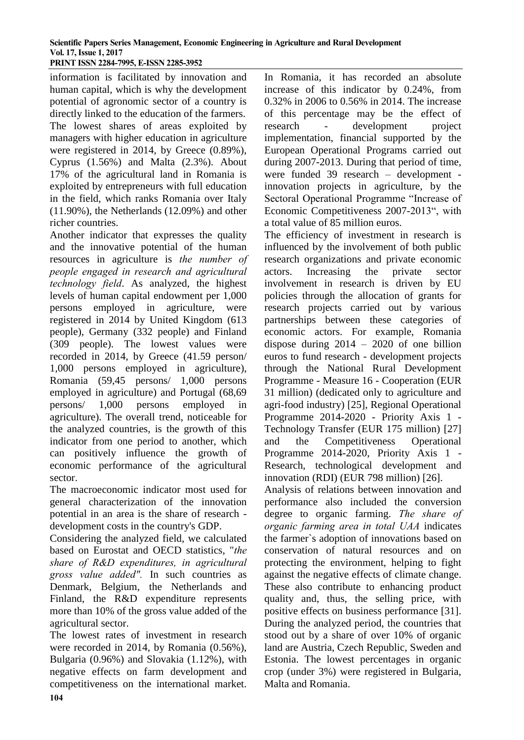information is facilitated by innovation and human capital, which is why the development potential of agronomic sector of a country is directly linked to the education of the farmers. The lowest shares of areas exploited by managers with higher education in agriculture were registered in 2014, by Greece (0.89%), Cyprus (1.56%) and Malta (2.3%). About 17% of the agricultural land in Romania is exploited by entrepreneurs with full education in the field, which ranks Romania over Italy (11.90%), the Netherlands (12.09%) and other richer countries.

Another indicator that expresses the quality and the innovative potential of the human resources in agriculture is *the number of people engaged in research and agricultural technology field*. As analyzed, the highest levels of human capital endowment per 1,000 persons employed in agriculture, were registered in 2014 by United Kingdom (613 people), Germany (332 people) and Finland (309 people). The lowest values were recorded in 2014, by Greece (41.59 person/ 1,000 persons employed in agriculture), Romania (59,45 persons/ 1,000 persons employed in agriculture) and Portugal (68,69 persons/ 1,000 persons employed in agriculture). The overall trend, noticeable for the analyzed countries, is the growth of this indicator from one period to another, which can positively influence the growth of economic performance of the agricultural sector.

The macroeconomic indicator most used for general characterization of the innovation potential in an area is the share of research development costs in the country's GDP.

Considering the analyzed field, we calculated based on Eurostat and OECD statistics, "*the share of R&D expenditures, in agricultural gross value added".* In such countries as Denmark, Belgium, the Netherlands and Finland, the R&D expenditure represents more than 10% of the gross value added of the agricultural sector.

The lowest rates of investment in research were recorded in 2014, by Romania (0.56%), Bulgaria (0.96%) and Slovakia (1.12%), with negative effects on farm development and competitiveness on the international market. In Romania, it has recorded an absolute increase of this indicator by 0.24%, from 0.32% in 2006 to 0.56% in 2014. The increase of this percentage may be the effect of research - development project implementation, financial supported by the European Operational Programs carried out during 2007-2013. During that period of time, were funded 39 research – development innovation projects in agriculture, by the Sectoral Operational Programme "Increase of Economic Competitiveness 2007-2013", with a total value of 85 million euros.

The efficiency of investment in research is influenced by the involvement of both public research organizations and private economic actors. Increasing the private sector involvement in research is driven by EU policies through the allocation of grants for research projects carried out by various partnerships between these categories of economic actors. For example, Romania dispose during  $2014 - 2020$  of one billion euros to fund research - development projects through the National Rural Development Programme - Measure 16 - Cooperation (EUR 31 million) (dedicated only to agriculture and agri-food industry) [25], Regional Operational Programme 2014-2020 - Priority Axis 1 - Technology Transfer (EUR 175 million) [27] and the Competitiveness Operational Programme 2014-2020, Priority Axis 1 - Research, technological development and innovation (RDI) (EUR 798 million) [26]. Analysis of relations between innovation and

performance also included the conversion degree to organic farming. *The share of organic farming area in total UAA* indicates the farmer`s adoption of innovations based on conservation of natural resources and on protecting the environment, helping to fight against the negative effects of climate change. These also contribute to enhancing product quality and, thus, the selling price, with positive effects on business performance [31]. During the analyzed period, the countries that stood out by a share of over 10% of organic land are Austria, Czech Republic, Sweden and Estonia. The lowest percentages in organic crop (under 3%) were registered in Bulgaria, Malta and Romania.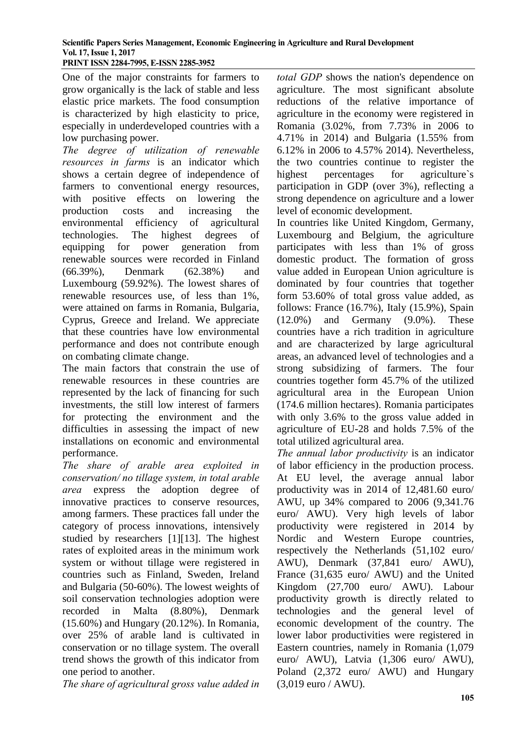One of the major constraints for farmers to grow organically is the lack of stable and less elastic price markets. The food consumption is characterized by high elasticity to price, especially in underdeveloped countries with a low purchasing power.

*The degree of utilization of renewable resources in farms* is an indicator which shows a certain degree of independence of farmers to conventional energy resources, with positive effects on lowering the production costs and increasing the environmental efficiency of agricultural technologies. The highest degrees of equipping for power generation from renewable sources were recorded in Finland (66.39%), Denmark (62.38%) and Luxembourg (59.92%). The lowest shares of renewable resources use, of less than 1%, were attained on farms in Romania, Bulgaria, Cyprus, Greece and Ireland. We appreciate that these countries have low environmental performance and does not contribute enough on combating climate change.

The main factors that constrain the use of renewable resources in these countries are represented by the lack of financing for such investments, the still low interest of farmers for protecting the environment and the difficulties in assessing the impact of new installations on economic and environmental performance.

*The share of arable area exploited in conservation/ no tillage system, in total arable area* express the adoption degree of innovative practices to conserve resources, among farmers. These practices fall under the category of process innovations, intensively studied by researchers [1][13]. The highest rates of exploited areas in the minimum work system or without tillage were registered in countries such as Finland, Sweden, Ireland and Bulgaria (50-60%). The lowest weights of soil conservation technologies adoption were recorded in Malta (8.80%), Denmark (15.60%) and Hungary (20.12%). In Romania, over 25% of arable land is cultivated in conservation or no tillage system. The overall trend shows the growth of this indicator from one period to another.

*The share of agricultural gross value added in* 

*total GDP* shows the nation's dependence on agriculture. The most significant absolute reductions of the relative importance of agriculture in the economy were registered in Romania (3.02%, from 7.73% in 2006 to 4.71% in 2014) and Bulgaria (1.55% from 6.12% in 2006 to 4.57% 2014). Nevertheless, the two countries continue to register the highest percentages for agriculture`s participation in GDP (over 3%), reflecting a strong dependence on agriculture and a lower level of economic development.

In countries like United Kingdom, Germany, Luxembourg and Belgium, the agriculture participates with less than 1% of gross domestic product. The formation of gross value added in European Union agriculture is dominated by four countries that together form 53.60% of total gross value added, as follows: France (16.7%), Italy (15.9%), Spain (12.0%) and Germany (9.0%). These countries have a rich tradition in agriculture and are characterized by large agricultural areas, an advanced level of technologies and a strong subsidizing of farmers. The four countries together form 45.7% of the utilized agricultural area in the European Union (174.6 million hectares). Romania participates with only 3.6% to the gross value added in agriculture of EU-28 and holds 7.5% of the total utilized agricultural area.

*The annual labor productivity* is an indicator of labor efficiency in the production process. At EU level, the average annual labor productivity was in 2014 of 12,481.60 euro/ AWU, up 34% compared to 2006 (9,341.76 euro/ AWU). Very high levels of labor productivity were registered in 2014 by Nordic and Western Europe countries, respectively the Netherlands (51,102 euro/ AWU), Denmark (37,841 euro/ AWU), France (31,635 euro/ AWU) and the United Kingdom (27,700 euro/ AWU). Labour productivity growth is directly related to technologies and the general level of economic development of the country. The lower labor productivities were registered in Eastern countries, namely in Romania (1,079 euro/ AWU), Latvia (1,306 euro/ AWU), Poland (2,372 euro/ AWU) and Hungary (3,019 euro / AWU).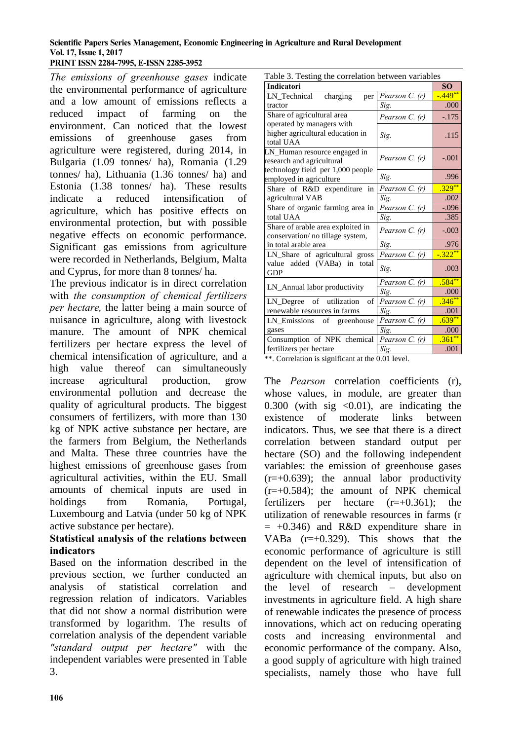*The emissions of greenhouse gases* indicate the environmental performance of agriculture and a low amount of emissions reflects a reduced impact of farming on the environment. Can noticed that the lowest emissions of greenhouse gases from agriculture were registered, during 2014, in Bulgaria (1.09 tonnes/ ha), Romania (1.29 tonnes/ ha), Lithuania (1.36 tonnes/ ha) and Estonia (1.38 tonnes/ ha). These results indicate a reduced intensification of agriculture, which has positive effects on environmental protection, but with possible negative effects on economic performance. Significant gas emissions from agriculture were recorded in Netherlands, Belgium, Malta and Cyprus, for more than 8 tonnes/ ha.

The previous indicator is in direct correlation with *the consumption of chemical fertilizers per hectare,* the latter being a main source of nuisance in agriculture, along with livestock manure. The amount of NPK chemical fertilizers per hectare express the level of chemical intensification of agriculture, and a high value thereof can simultaneously increase agricultural production, grow environmental pollution and decrease the quality of agricultural products. The biggest consumers of fertilizers, with more than 130 kg of NPK active substance per hectare, are the farmers from Belgium, the Netherlands and Malta. These three countries have the highest emissions of greenhouse gases from agricultural activities, within the EU. Small amounts of chemical inputs are used in holdings from Romania, Portugal, Luxembourg and Latvia (under 50 kg of NPK active substance per hectare).

## **Statistical analysis of the relations between indicators**

Based on the information described in the previous section, we further conducted an analysis of statistical correlation and regression relation of indicators. Variables that did not show a normal distribution were transformed by logarithm. The results of correlation analysis of the dependent variable *"standard output per hectare"* with the independent variables were presented in Table 3.

| Table 3. Testing the correlation between variables                                             |                  |             |
|------------------------------------------------------------------------------------------------|------------------|-------------|
| <b>Indicatori</b>                                                                              | <b>SO</b>        |             |
| charging<br>LN Technical<br>per                                                                | Pearson C. $(r)$ | $-449**$    |
| tractor                                                                                        | Sig.             | .000        |
| Share of agricultural area                                                                     | Pearson C. (r)   | $-.175$     |
| operated by managers with<br>higher agricultural education in<br>total UAA                     | Sig.             | .115        |
| LN_Human resource engaged in<br>research and agricultural<br>technology field per 1,000 people | Pearson C. (r)   | $-.001$     |
| employed in agriculture                                                                        | Sig.             | .996        |
| Share of R&D expenditure<br>in                                                                 | Pearson C. (r)   | $.329***$   |
| agricultural VAB                                                                               | Sig.             | .002        |
| Share of organic farming area in                                                               | Pearson C. (r)   | $-.096$     |
| total UAA                                                                                      | Sig.             | .385        |
| Share of arable area exploited in<br>conservation/ no tillage system,                          | Pearson C. (r)   | $-.003$     |
| in total arable area                                                                           | Sig.             | .976        |
| LN_Share of agricultural gross                                                                 | Pearson C. (r)   | $-0.322$ ** |
| value added (VABa) in total<br><b>GDP</b>                                                      | Sig.             | .003        |
| LN_Annual labor productivity                                                                   | Pearson C. (r)   | $.584**$    |
|                                                                                                | Sig.             | .000        |
| LN_Degree of utilization<br>of                                                                 | Pearson C. (r)   | $.346**$    |
| renewable resources in farms                                                                   | Sig.             | .001        |
| LN_Emissions of greenhouse                                                                     | Pearson C. (r)   | $.639***$   |
| gases                                                                                          | Sig.             | .000        |
| Consumption of NPK chemical                                                                    | Pearson $C_r(r)$ | $.361**$    |
| fertilizers per hectare                                                                        | Sig.             | .001        |

\*\*. Correlation is significant at the 0.01 level.

The *Pearson* correlation coefficients (r), whose values, in module, are greater than 0.300 (with sig  $\langle 0.01 \rangle$ , are indicating the existence of moderate links between indicators. Thus, we see that there is a direct correlation between standard output per hectare (SO) and the following independent variables: the emission of greenhouse gases  $(r=+0.639)$ ; the annual labor productivity  $(r=+0.584)$ ; the amount of NPK chemical fertilizers per hectare  $(r=+0.361)$ ; the utilization of renewable resources in farms (r  $= +0.346$ ) and R&D expenditure share in VABa (r=+0.329). This shows that the economic performance of agriculture is still dependent on the level of intensification of agriculture with chemical inputs, but also on the level of research – development investments in agriculture field. A high share of renewable indicates the presence of process innovations, which act on reducing operating costs and increasing environmental and economic performance of the company. Also, a good supply of agriculture with high trained specialists, namely those who have full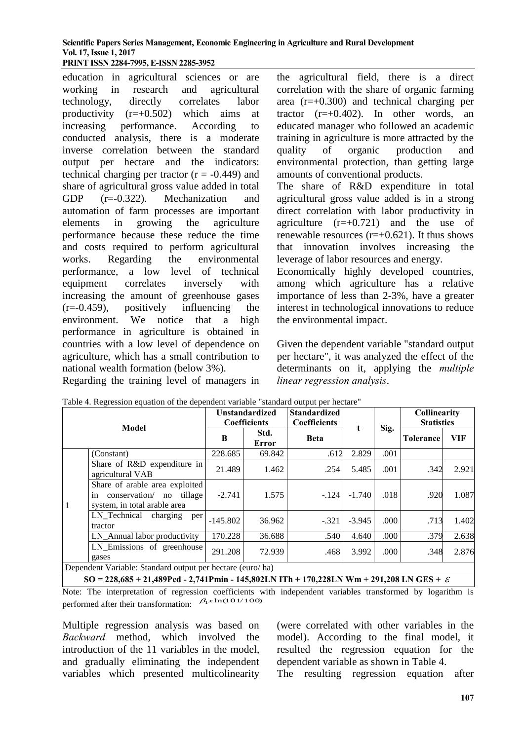education in agricultural sciences or are working in research and agricultural technology, directly correlates labor productivity  $(r=+0.502)$  which aims at increasing performance. According to conducted analysis, there is a moderate inverse correlation between the standard output per hectare and the indicators: technical charging per tractor  $(r = -0.449)$  and share of agricultural gross value added in total GDP (r=-0.322). Mechanization and automation of farm processes are important elements in growing the agriculture performance because these reduce the time and costs required to perform agricultural works. Regarding the environmental performance, a low level of technical equipment correlates inversely with increasing the amount of greenhouse gases (r=-0.459), positively influencing the environment. We notice that a high performance in agriculture is obtained in countries with a low level of dependence on agriculture, which has a small contribution to national wealth formation (below 3%). Regarding the training level of managers in the agricultural field, there is a direct correlation with the share of organic farming area  $(r=+0.300)$  and technical charging per tractor  $(r=+0.402)$ . In other words, an educated manager who followed an academic training in agriculture is more attracted by the quality of organic production and environmental protection, than getting large amounts of conventional products.

The share of R&D expenditure in total agricultural gross value added is in a strong direct correlation with labor productivity in agriculture  $(r=+0.721)$  and the use of renewable resources  $(r=+0.621)$ . It thus shows that innovation involves increasing the leverage of labor resources and energy. Economically highly developed countries, among which agriculture has a relative importance of less than 2-3%, have a greater interest in technological innovations to reduce the environmental impact.

Given the dependent variable "standard output per hectare", it was analyzed the effect of the determinants on it, applying the *multiple linear regression analysis*.

| <b>Model</b> |                                                                                                                       | <b>Unstandardized</b><br>Coefficients |               | <b>Standardized</b><br><b>Coefficients</b> |          |      | Collinearity<br><b>Statistics</b> |            |
|--------------|-----------------------------------------------------------------------------------------------------------------------|---------------------------------------|---------------|--------------------------------------------|----------|------|-----------------------------------|------------|
|              |                                                                                                                       | B                                     | Std.<br>Error | <b>Beta</b>                                | t        | Sig. | <b>Tolerance</b>                  | <b>VIF</b> |
|              | (Constant)                                                                                                            | 228.685                               | 69.842        | .612                                       | 2.829    | .001 |                                   |            |
| $\mathbf{1}$ | Share of R&D expenditure in<br>agricultural VAB                                                                       | 21.489                                | 1.462         | .254                                       | 5.485    | .001 | .342                              | 2.921      |
|              | Share of arable area exploited<br>in conservation/ no<br>tillage<br>system, in total arable area                      | $-2.741$                              | 1.575         | $-.124$                                    | $-1.740$ | .018 | .920                              | 1.087      |
|              | LN_Technical charging<br>per<br>tractor                                                                               | $-145.802$                            | 36.962        | $-.321$                                    | $-3.945$ | .000 | .713                              | 1.402      |
|              | LN_Annual labor productivity                                                                                          | 170.228                               | 36.688        | .540                                       | 4.640    | .000 | .379                              | 2.638      |
|              | LN_Emissions of greenhouse<br>gases                                                                                   | 291.208                               | 72.939        | .468                                       | 3.992    | .000 | .348                              | 2.876      |
|              | Dependent Variable: Standard output per hectare (euro/ha)                                                             |                                       |               |                                            |          |      |                                   |            |
|              | $SO = 228.685 \pm 21.480$ Dod $2.741$ Dmin $-145.802$ J N ITh $\pm 170.228$ J N Wm $\pm 201.208$ J N C F S $\pm 0.02$ |                                       |               |                                            |          |      |                                   |            |

|  | Table 4. Regression equation of the dependent variable "standard output per hectare" |  |  |
|--|--------------------------------------------------------------------------------------|--|--|
|  |                                                                                      |  |  |

**SO = 228,685 + 21,489Pcd - 2,741Pmin - 145,802LN ITh + 170,228LN Wm + 291,208 LN GES +** 

Note: The interpretation of regression coefficients with independent variables transformed by logarithm is performed after their transformation:  $\beta_1 x \ln(101/100)$ 

Multiple regression analysis was based on *Backward* method, which involved the introduction of the 11 variables in the model, and gradually eliminating the independent variables which presented multicolinearity

(were correlated with other variables in the model). According to the final model, it resulted the regression equation for the dependent variable as shown in Table 4. The resulting regression equation after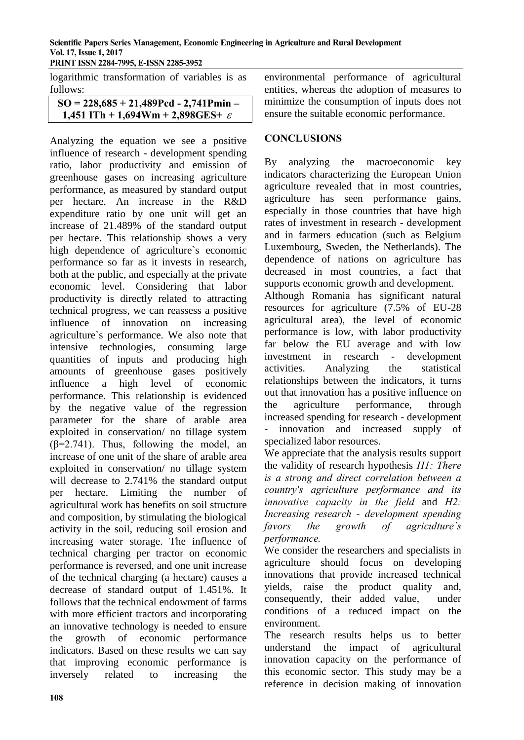**PRINT ISSN 2284-7995, E-ISSN 2285-3952** 

logarithmic transformation of variables is as follows:

**SO = 228,685 + 21,489Pcd - 2,741Pmin – 1,451 ITh + 1,694Wm + 2,898GES+** 

Analyzing the equation we see a positive influence of research - development spending ratio, labor productivity and emission of greenhouse gases on increasing agriculture performance, as measured by standard output per hectare. An increase in the R&D expenditure ratio by one unit will get an increase of 21.489% of the standard output per hectare. This relationship shows a very high dependence of agriculture`s economic performance so far as it invests in research, both at the public, and especially at the private economic level. Considering that labor productivity is directly related to attracting technical progress, we can reassess a positive influence of innovation on increasing agriculture`s performance. We also note that intensive technologies, consuming large quantities of inputs and producing high amounts of greenhouse gases positively influence a high level of economic performance. This relationship is evidenced by the negative value of the regression parameter for the share of arable area exploited in conservation/ no tillage system  $(\beta=2.741)$ . Thus, following the model, an increase of one unit of the share of arable area exploited in conservation/ no tillage system will decrease to 2.741% the standard output per hectare. Limiting the number of agricultural work has benefits on soil structure and composition, by stimulating the biological activity in the soil, reducing soil erosion and increasing water storage. The influence of technical charging per tractor on economic performance is reversed, and one unit increase of the technical charging (a hectare) causes a decrease of standard output of 1.451%. It follows that the technical endowment of farms with more efficient tractors and incorporating an innovative technology is needed to ensure the growth of economic performance indicators. Based on these results we can say that improving economic performance is inversely related to increasing the

environmental performance of agricultural entities, whereas the adoption of measures to minimize the consumption of inputs does not ensure the suitable economic performance.

#### **CONCLUSIONS**

By analyzing the macroeconomic key indicators characterizing the European Union agriculture revealed that in most countries, agriculture has seen performance gains, especially in those countries that have high rates of investment in research - development and in farmers education (such as Belgium Luxembourg, Sweden, the Netherlands). The dependence of nations on agriculture has decreased in most countries, a fact that supports economic growth and development.

Although Romania has significant natural resources for agriculture (7.5% of EU-28 agricultural area), the level of economic performance is low, with labor productivity far below the EU average and with low investment in research - development activities. Analyzing the statistical relationships between the indicators, it turns out that innovation has a positive influence on the agriculture performance, through increased spending for research - development innovation and increased supply of specialized labor resources.

We appreciate that the analysis results support the validity of research hypothesis *H1: There is a strong and direct correlation between a country's agriculture performance and its innovative capacity in the field* and *H2: Increasing research - development spending favors the growth of agriculture`s performance.*

We consider the researchers and specialists in agriculture should focus on developing innovations that provide increased technical yields, raise the product quality and, consequently, their added value, under conditions of a reduced impact on the environment.

The research results helps us to better understand the impact of agricultural innovation capacity on the performance of this economic sector. This study may be a reference in decision making of innovation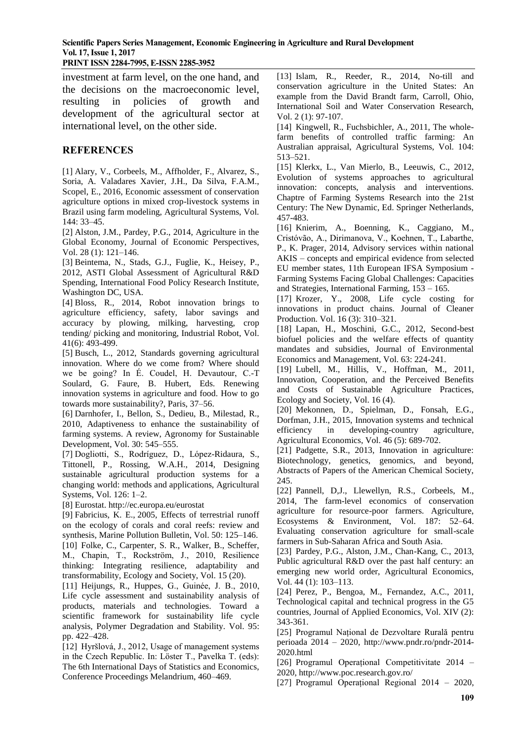investment at farm level, on the one hand, and the decisions on the macroeconomic level, resulting in policies of growth and development of the agricultural sector at international level, on the other side.

### **REFERENCES**

[1] Alary, V., Corbeels, M., Affholder, F., Alvarez, S., Soria, A. Valadares Xavier, J.H., Da Silva, F.A.M., Scopel, E., 2016, Economic assessment of conservation agriculture options in mixed crop-livestock systems in Brazil using farm modeling, Agricultural Systems, Vol. 144: 33–45.

[2] Alston, J.M., Pardey, P.G., 2014, Agriculture in the Global Economy, Journal of Economic Perspectives, Vol. 28 (1): 121–146.

[3] Beintema, N., Stads, G.J., Fuglie, K., Heisey, P., 2012, ASTI Global Assessment of Agricultural R&D Spending, International Food Policy Research Institute, Washington DC, USA.

[4] Bloss, R., 2014, Robot innovation brings to agriculture efficiency, safety, labor savings and accuracy by plowing, milking, harvesting, crop tending/ picking and monitoring, Industrial Robot, Vol. 41(6): 493-499.

[5] Busch, L., 2012, Standards governing agricultural innovation. Where do we come from? Where should we be going? In É. Coudel, H. Devautour, C.-T Soulard, G. Faure, B. Hubert, Eds. Renewing innovation systems in agriculture and food. How to go towards more sustainability?, Paris, 37–56.

[6] Darnhofer, I., Bellon, S., Dedieu, B., Milestad, R., 2010, Adaptiveness to enhance the sustainability of farming systems. A review, Agronomy for Sustainable Development, Vol. 30: 545–555.

[7] Dogliotti, S., Rodríguez, D., López-Ridaura, S., Tittonell, P., Rossing, W.A.H., 2014, Designing sustainable agricultural production systems for a changing world: methods and applications, Agricultural Systems, Vol. 126: 1–2.

[8] Eurostat.<http://ec.europa.eu/eurostat>

[9] Fabricius, K. E., 2005, Effects of terrestrial runoff on the ecology of corals and coral reefs: review and synthesis, Marine Pollution Bulletin, Vol. 50: 125–146. [10] Folke, C., Carpenter, S. R., Walker, B., Scheffer, M., Chapin, T., Rockström, J., 2010, Resilience thinking: Integrating resilience, adaptability and transformability, Ecology and Society, Vol. 15 (20).

[11] Heijungs, R., Huppes, G., Guinée, J. B., 2010, Life cycle assessment and sustainability analysis of products, materials and technologies. Toward a scientific framework for sustainability life cycle analysis, Polymer Degradation and Stability. Vol. 95: pp. 422–428.

[12] Hyršlová, J., 2012, Usage of management systems in the Czech Republic. In: Löster T., Pavelka T. (eds): The 6th International Days of Statistics and Economics, Conference Proceedings Melandrium, 460–469.

[13] Islam, R., Reeder, R., 2014, No-till and conservation agriculture in the United States: An example from the David Brandt farm, Carroll, Ohio, International Soil and Water Conservation Research, Vol. 2 (1): 97-107.

[14] Kingwell, R., Fuchsbichler, A., 2011, The wholefarm benefits of controlled traffic farming: An Australian appraisal, Agricultural Systems, Vol. 104: 513–521.

[15] Klerkx, L., Van Mierlo, B., Leeuwis, C., 2012, Evolution of systems approaches to agricultural innovation: concepts, analysis and interventions. Chaptre of Farming Systems Research into the 21st Century: The New Dynamic, Ed. Springer Netherlands, 457-483.

[16] Knierim, A., Boenning, K., Caggiano, M., Cristóvão, A., Dirimanova, V., Koehnen, T., Labarthe, P., K. Prager, 2014, Advisory services within national AKIS – concepts and empirical evidence from selected EU member states, 11th European IFSA Symposium - Farming Systems Facing Global Challenges: Capacities and Strategies, International Farming, 153 – 165.

[17] Krozer, Y., 2008, Life cycle costing for innovations in product chains. Journal of Cleaner Production. Vol. 16 (3): 310–321.

[18] Lapan, H., Moschini, G.C., 2012, Second-best biofuel policies and the welfare effects of quantity mandates and subsidies, Journal of Environmental Economics and Management, Vol. 63: 224-241.

[19] Lubell, M., Hillis, V., Hoffman, M., 2011, Innovation, Cooperation, and the Perceived Benefits and Costs of Sustainable Agriculture Practices, Ecology and Society, Vol. 16 (4).

[20] Mekonnen, D., Spielman, D., Fonsah, E.G., Dorfman, J.H., 2015, Innovation systems and technical efficiency in developing-country agriculture, Agricultural Economics, Vol. 46 (5): 689-702.

[21] Padgette, S.R., 2013, Innovation in agriculture: Biotechnology, genetics, genomics, and beyond, Abstracts of Papers of the American Chemical Society, 245.

[22] Pannell, D.J., Llewellyn, R.S., Corbeels, M., 2014, The farm-level economics of conservation agriculture for resource-poor farmers. Agriculture, Ecosystems & Environment, Vol. 187: 52–64. Evaluating conservation agriculture for small-scale farmers in Sub-Saharan Africa and South Asia.

[23] Pardey, P.G., Alston, J.M., Chan-Kang, C., 2013, Public agricultural R&D over the past half century: an emerging new world order, Agricultural Economics, Vol. 44 (1): 103–113.

[24] Perez, P., Bengoa, M., Fernandez, A.C., 2011, Technological capital and technical progress in the G5 countries, Journal of Applied Economics, Vol. XIV (2): 343-361.

[25] Programul Național de Dezvoltare Rurală pentru perioada 2014 – 2020, [http://www.pndr.ro/pndr-2014-](http://www.pndr.ro/pndr-2014-2020.html) [2020.html](http://www.pndr.ro/pndr-2014-2020.html)

[26] Programul Operațional Competitivitate 2014 – 2020[, http://www.poc.research.gov.ro/](http://www.poc.research.gov.ro/)

[27] Programul Operațional Regional 2014 – 2020,